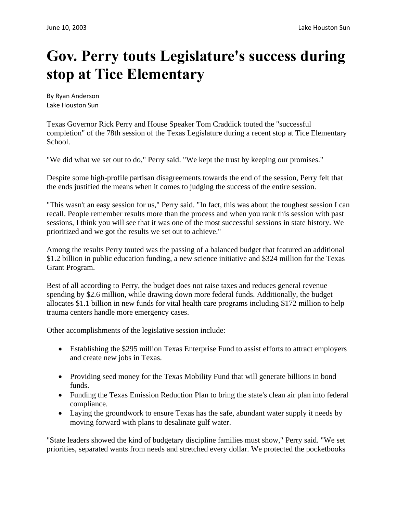## **Gov. Perry touts Legislature's success during stop at Tice Elementary**

By Ryan Anderson Lake Houston Sun

Texas Governor Rick Perry and House Speaker Tom Craddick touted the "successful completion" of the 78th session of the Texas Legislature during a recent stop at Tice Elementary School.

"We did what we set out to do," Perry said. "We kept the trust by keeping our promises."

Despite some high-profile partisan disagreements towards the end of the session, Perry felt that the ends justified the means when it comes to judging the success of the entire session.

"This wasn't an easy session for us," Perry said. "In fact, this was about the toughest session I can recall. People remember results more than the process and when you rank this session with past sessions, I think you will see that it was one of the most successful sessions in state history. We prioritized and we got the results we set out to achieve."

Among the results Perry touted was the passing of a balanced budget that featured an additional \$1.2 billion in public education funding, a new science initiative and \$324 million for the Texas Grant Program.

Best of all according to Perry, the budget does not raise taxes and reduces general revenue spending by \$2.6 million, while drawing down more federal funds. Additionally, the budget allocates \$1.1 billion in new funds for vital health care programs including \$172 million to help trauma centers handle more emergency cases.

Other accomplishments of the legislative session include:

- Establishing the \$295 million Texas Enterprise Fund to assist efforts to attract employers and create new jobs in Texas.
- Providing seed money for the Texas Mobility Fund that will generate billions in bond funds.
- Funding the Texas Emission Reduction Plan to bring the state's clean air plan into federal compliance.
- Laying the groundwork to ensure Texas has the safe, abundant water supply it needs by moving forward with plans to desalinate gulf water.

"State leaders showed the kind of budgetary discipline families must show," Perry said. "We set priorities, separated wants from needs and stretched every dollar. We protected the pocketbooks